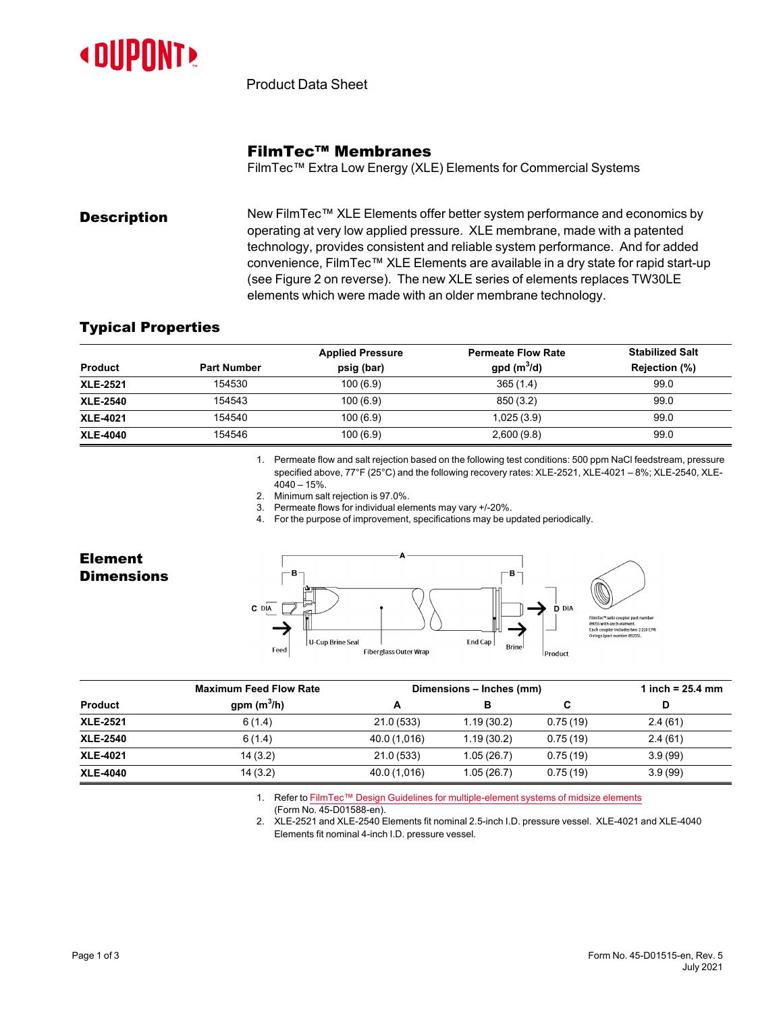

Product Data Sheet

# FilmTec™ Membranes

FilmTec™ Extra Low Energy (XLE) Elements for Commercial Systems

**Description** New FilmTec™ XLE Elements offer better system performance and economics by operating at very low applied pressure. XLE membrane, made with a patented technology, provides consistent and reliable system performance. And for added convenience, FilmTec™ XLE Elements are available in a dry state for rapid start-up (see [Figure](#page-1-0) 2 on reverse). The new XLE series of elements replaces TW30LE elements which were made with an older membrane technology.

### Typical Properties

|                 |                    | <b>Applied Pressure</b> | <b>Permeate Flow Rate</b> | <b>Stabilized Salt</b> |
|-----------------|--------------------|-------------------------|---------------------------|------------------------|
| <b>Product</b>  | <b>Part Number</b> | psig (bar)              | gpd $(m^3/d)$             | Rejection (%)          |
| <b>XLE-2521</b> | 154530             | 100(6.9)                | 365(1.4)                  | 99.0                   |
| <b>XLE-2540</b> | 154543             | 100(6.9)                | 850 (3.2)                 | 99.0                   |
| <b>XLE-4021</b> | 154540             | 100(6.9)                | 1,025(3.9)                | 99.0                   |
| <b>XLE-4040</b> | 154546             | 100(6.9)                | 2,600(9.8)                | 99.0                   |

1. Permeate flow and salt rejection based on the following test conditions: 500 ppm NaCl feedstream, pressure specified above, 77°F (25°C) and the following recovery rates: XLE-2521, XLE-4021 – 8%; XLE-2540, XLE- $4040 - 15%$ 

- 2. Minimum salt rejection is 97.0%.
- 3. Permeate flows for individual elements may vary +/-20%.

4. For the purpose of improvement, specifications may be updated periodically.

Element **Dimensions** 



|                 | <b>Maximum Feed Flow Rate</b> | Dimensions - Inches (mm) |            |          | 1 inch = $25.4$ mm |  |
|-----------------|-------------------------------|--------------------------|------------|----------|--------------------|--|
| <b>Product</b>  | gpm $(m^3/h)$                 |                          | в          | C        | D                  |  |
| <b>XLE-2521</b> | 6(1.4)                        | 21.0(533)                | 1.19(30.2) | 0.75(19) | 2.4(61)            |  |
| <b>XLE-2540</b> | 6(1.4)                        | 40.0 (1,016)             | 1.19(30.2) | 0.75(19) | 2.4(61)            |  |
| <b>XLE-4021</b> | 14(3.2)                       | 21.0(533)                | 1.05(26.7) | 0.75(19) | 3.9(99)            |  |
| <b>XLE-4040</b> | 14(3.2)                       | 40.0 (1,016)             | 1.05(26.7) | 0.75(19) | 3.9(99)            |  |

1. Refer to FilmTec™ Design Guidelines for [multiple-element](https://www.dupont.com/content/dam/dupont/amer/us/en/water-solutions/public/documents/en/RO-NF-FilmTec-Membrane-Sys-Design-Guidelines-Midsize-Manual-Exc-45-D01588-en.pdf) systems of midsize elements

(Form No. 45-D01588-en).

2. XLE-2521 and XLE-2540 Elements fit nominal 2.5-inch I.D. pressure vessel. XLE-4021 and XLE-4040 Elements fit nominal 4-inch I.D. pressure vessel.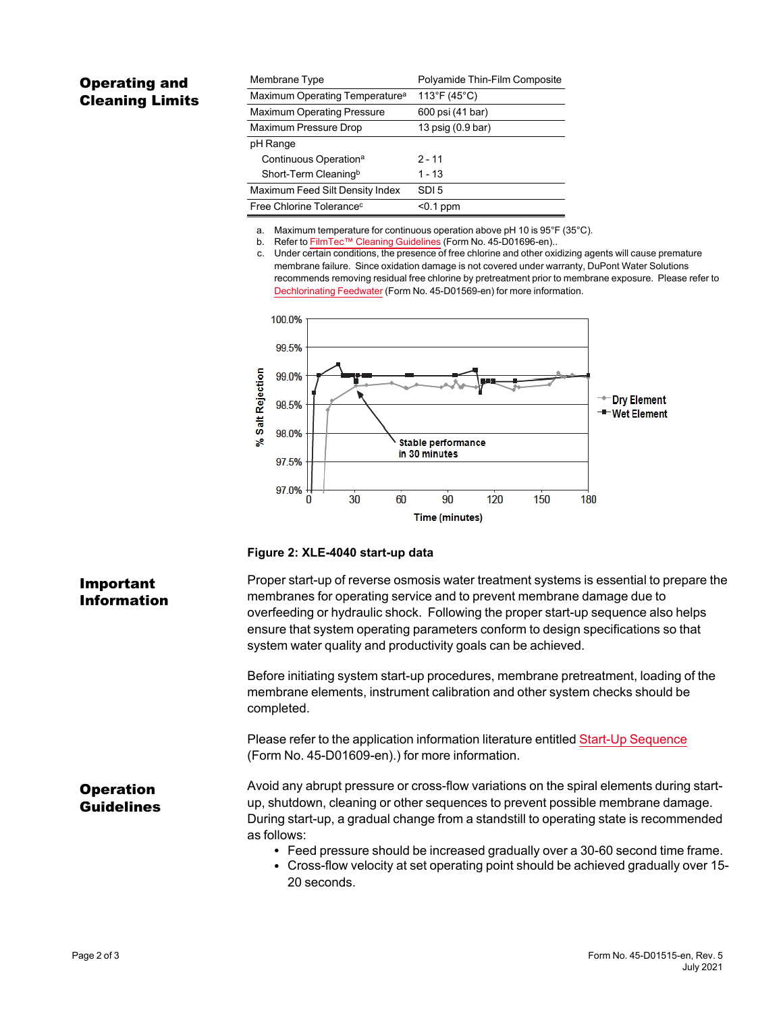# Operating and Cleaning Limits

| Membrane Type                              | Polyamide Thin-Film Composite |
|--------------------------------------------|-------------------------------|
| Maximum Operating Temperature <sup>a</sup> | 113°F (45°C)                  |
| <b>Maximum Operating Pressure</b>          | 600 psi (41 bar)              |
| Maximum Pressure Drop                      | 13 psig (0.9 bar)             |
| pH Range                                   |                               |
| Continuous Operation <sup>a</sup>          | $2 - 11$                      |
| Short-Term Cleaningb                       | 1 - 13                        |
| Maximum Feed Silt Density Index            | SDI <sub>5</sub>              |
| Free Chlorine Tolerance <sup>c</sup>       | $0.1$ ppm                     |

a. Maximum temperature for continuous operation above pH 10 is 95°F (35°C).

b. Refer to FilmTec™ Cleaning [Guidelines](https://www.dupont.com/content/dam/dupont/amer/us/en/water-solutions/public/documents/en/RO-NF-FilmTec-Cleaning-Procedures-Manual-Exc-45-D01696-en.pdf) (Form No. 45-D01696-en)..

c. Under certain conditions, the presence of free chlorine and other oxidizing agents will cause premature membrane failure. Since oxidation damage is not covered under warranty, DuPont Water Solutions recommends removing residual free chlorine by pretreatment prior to membrane exposure. Please refer to [Dechlorinating](https://www.dupont.com/content/dam/dupont/amer/us/en/water-solutions/public/documents/en/RO-NF-FilmTec-Chlorination-Dechlorination-Manual-Exc-45-D01569-en.pdf) Feedwater (Form No. 45-D01569-en) for more information.



### <span id="page-1-0"></span>**Figure 2: XLE-4040 start-up data**

### Proper start-up of reverse osmosis water treatment systems is essential to prepare the membranes for operating service and to prevent membrane damage due to overfeeding or hydraulic shock. Following the proper start-up sequence also helps ensure that system operating parameters conform to design specifications so that system water quality and productivity goals can be achieved.

Before initiating system start-up procedures, membrane pretreatment, loading of the membrane elements, instrument calibration and other system checks should be completed.

Please refer to the application information literature entitled Start-Up [Sequence](https://www.dupont.com/content/dam/dupont/amer/us/en/water-solutions/public/documents/en/RO-NF-FilmTec-Start-Up-Sequence-Manual-Exc-45-D01609-en.pdf) (Form No. 45-D01609-en).) for more information.

Avoid any abrupt pressure or cross-flow variations on the spiral elements during startup, shutdown, cleaning or other sequences to prevent possible membrane damage. During start-up, a gradual change from a standstill to operating state is recommended as follows:

- Feed pressure should be increased gradually over a 30-60 second time frame.
- Cross-flow velocity at set operating point should be achieved gradually over 15-20 seconds.

# Important Information

**Operation** Guidelines

#### Page 2 of 3 Form No. 45-D01515-en, Rev. 5 July 2021